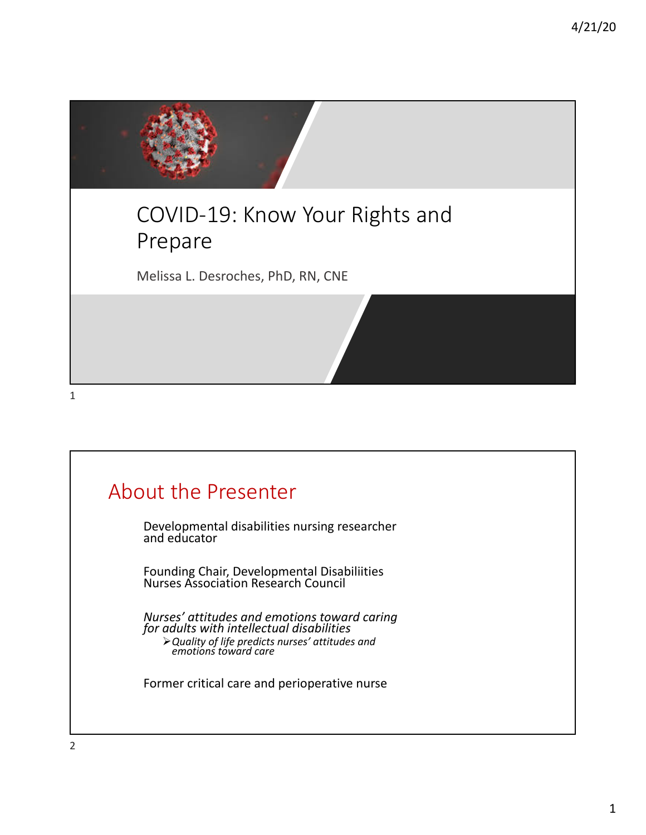

1

# About the Presenter Developmental disabilities nursing researcher and educator Founding Chair, Developmental Disabiliities Nurses Association Research Council *Nurses' attitudes and emotions toward caring for adults with intellectual disabilities* Ø*Quality of life predicts nurses' attitudes and emotions toward care* Former critical care and perioperative nurse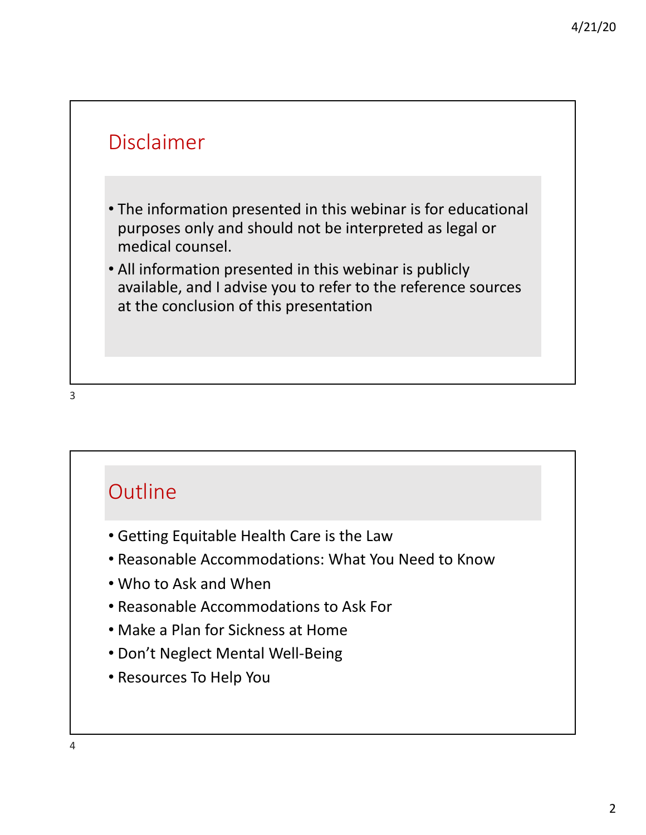

#### **Outline**

- Getting Equitable Health Care is the Law
- Reasonable Accommodations: What You Need to Know
- Who to Ask and When
- Reasonable Accommodations to Ask For
- Make a Plan for Sickness at Home
- Don't Neglect Mental Well-Being
- Resources To Help You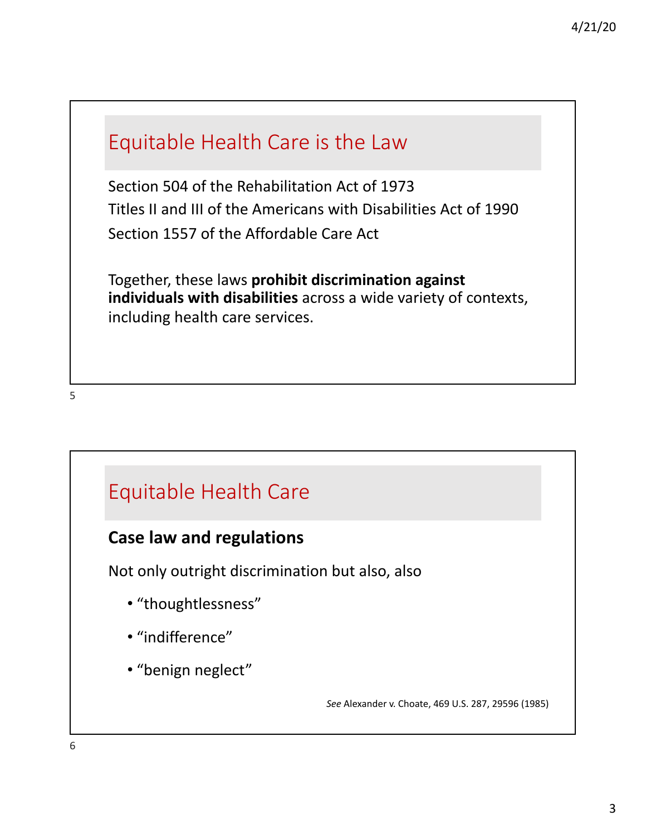## Equitable Health Care is the Law

Section 504 of the Rehabilitation Act of 1973 Titles II and III of the Americans with Disabilities Act of 1990 Section 1557 of the Affordable Care Act

Together, these laws **prohibit discrimination against individuals with disabilities** across a wide variety of contexts, including health care services.

#### 5

#### Equitable Health Care

#### **Case law and regulations**

Not only outright discrimination but also, also

- "thoughtlessness"
- "indifference"
- "benign neglect"

*See* Alexander v. Choate, 469 U.S. 287, 29596 (1985)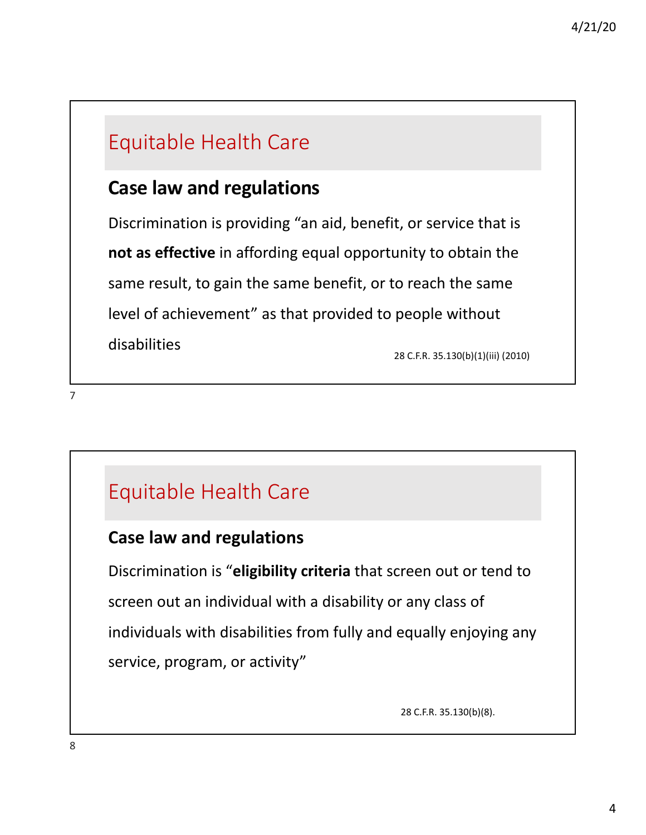# Equitable Health Care

### **Case law and regulations**

Discrimination is providing "an aid, benefit, or service that is **not as effective** in affording equal opportunity to obtain the same result, to gain the same benefit, or to reach the same level of achievement" as that provided to people without disabilities

28 C.F.R. 35.130(b)(1)(iii) (2010)

Equitable Health Care

#### **Case law and regulations**

Discrimination is "**eligibility criteria** that screen out or tend to screen out an individual with a disability or any class of individuals with disabilities from fully and equally enjoying any service, program, or activity"

28 C.F.R. 35.130(b)(8).

8

7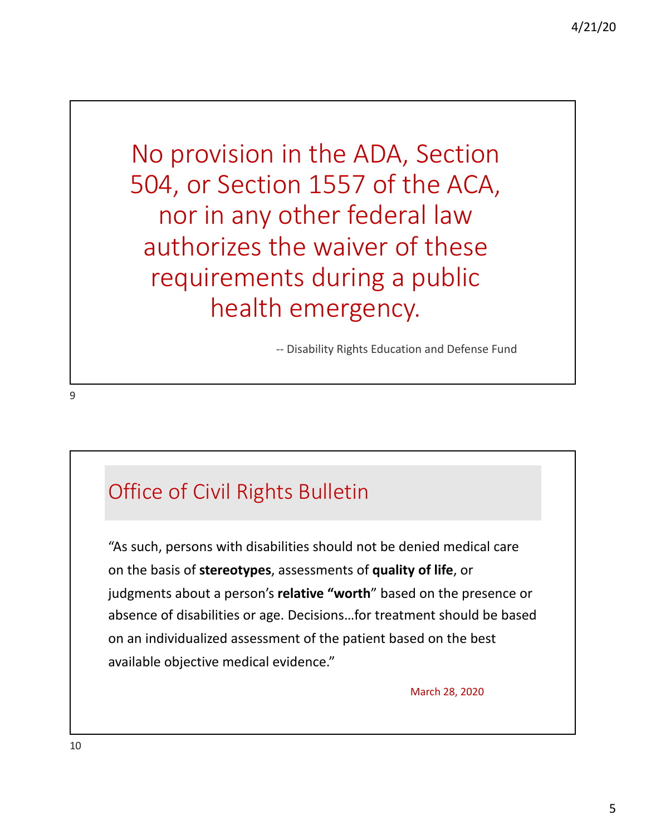No provision in the ADA, Section 504, or Section 1557 of the ACA, nor in any other federal law authorizes the waiver of these requirements during a public health emergency.

-- Disability Rights Education and Defense Fund

## Office of Civil Rights Bulletin

"As such, persons with disabilities should not be denied medical care on the basis of **stereotypes**, assessments of **quality of life**, or judgments about a person's **relative "worth**" based on the presence or absence of disabilities or age. Decisions…for treatment should be based on an individualized assessment of the patient based on the best available objective medical evidence."

March 28, 2020

9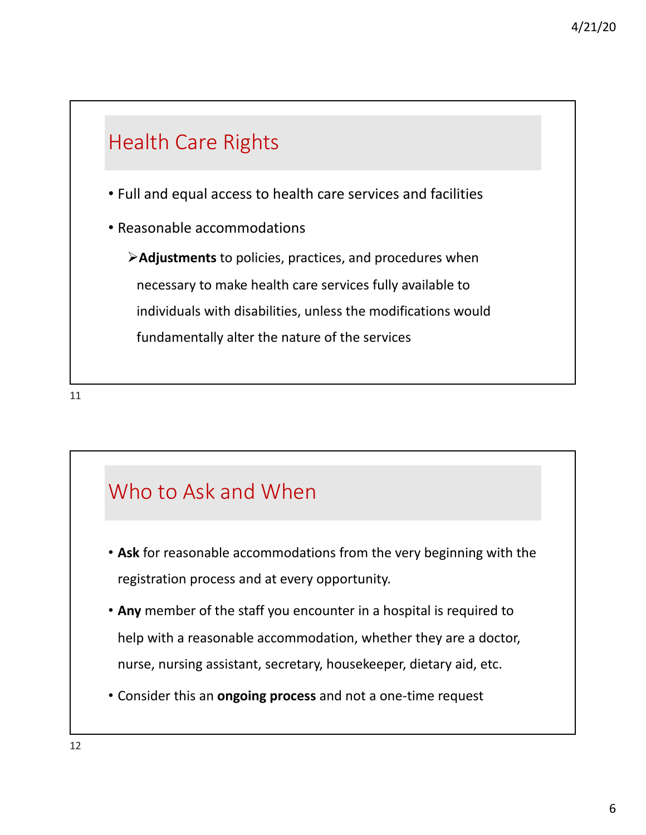

11

# Who to Ask and When

- **Ask** for reasonable accommodations from the very beginning with the registration process and at every opportunity.
- **Any** member of the staff you encounter in a hospital is required to help with a reasonable accommodation, whether they are a doctor, nurse, nursing assistant, secretary, housekeeper, dietary aid, etc.
- Consider this an **ongoing process** and not a one-time request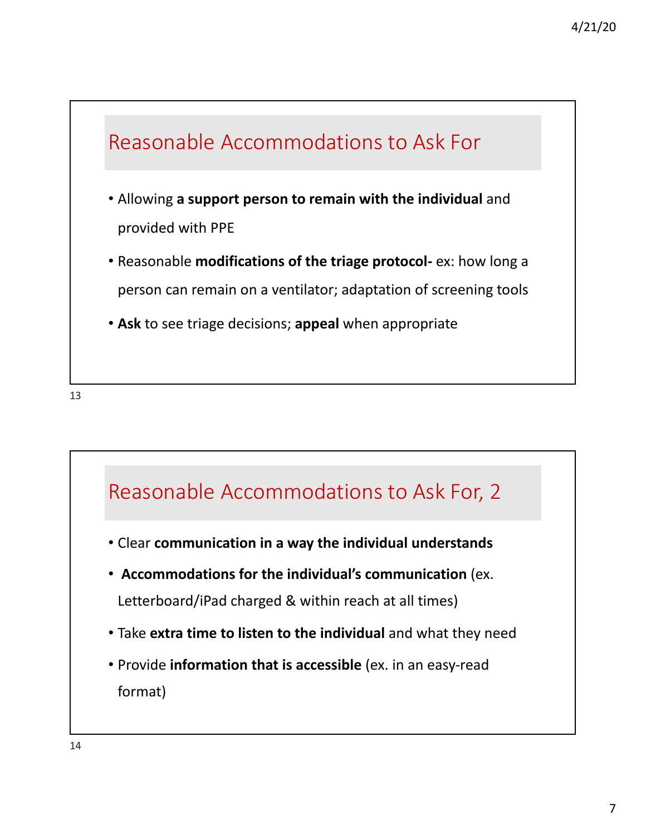

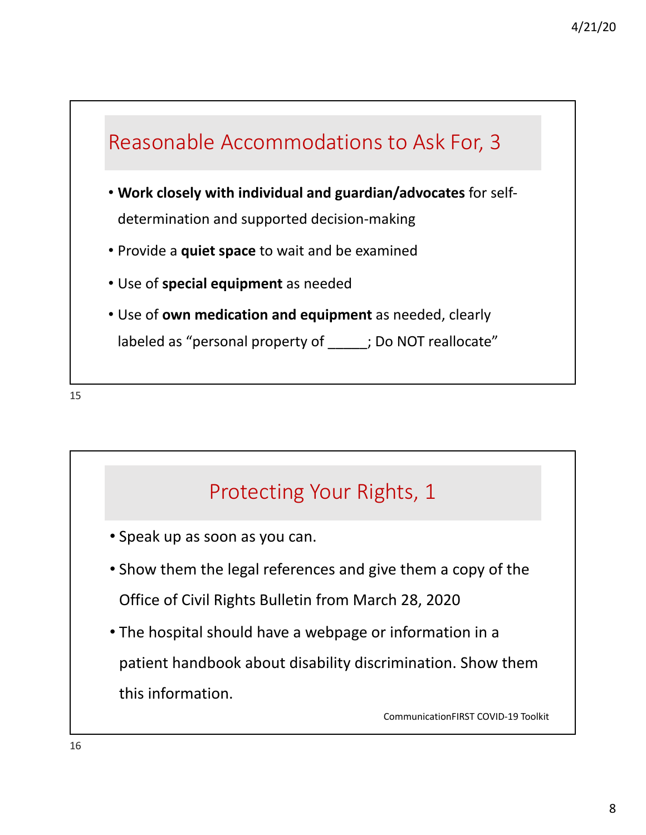

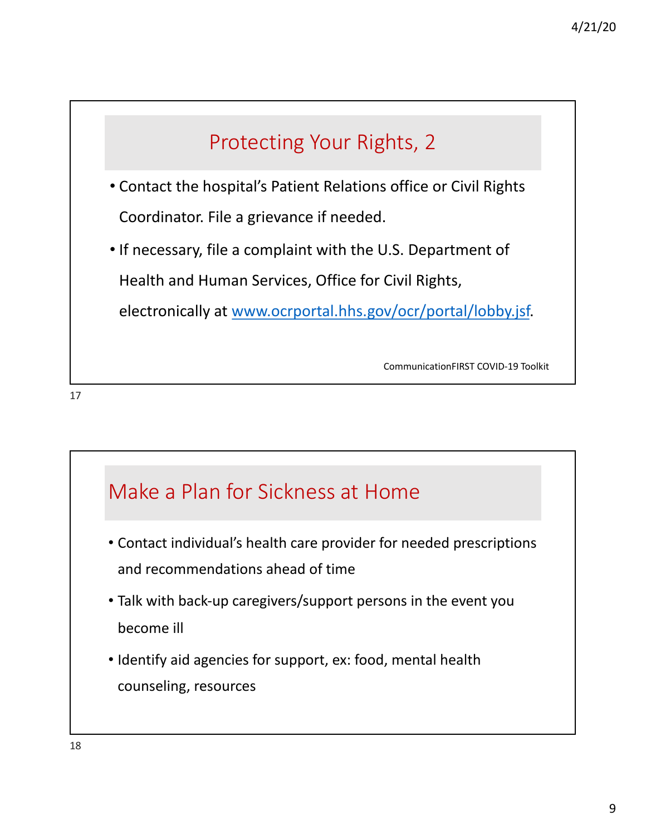

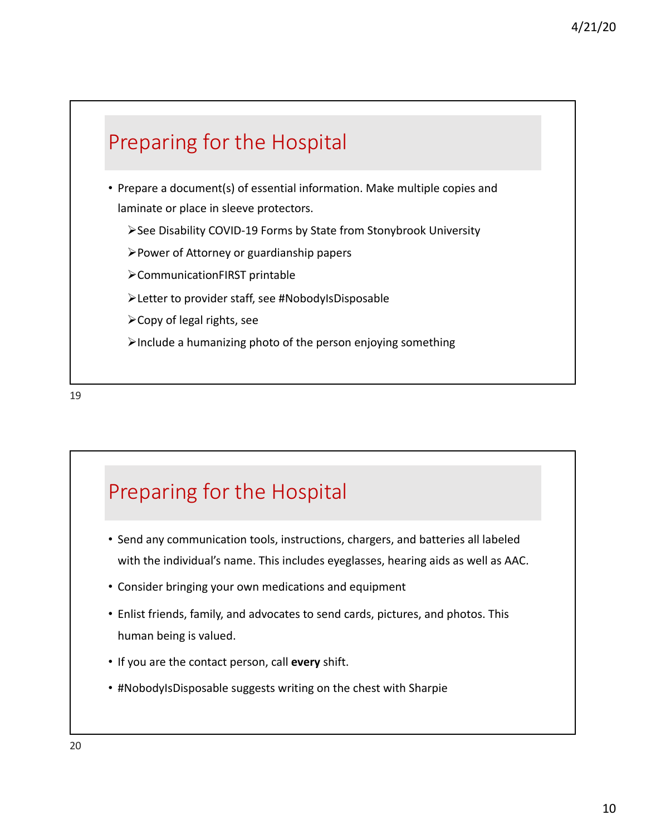